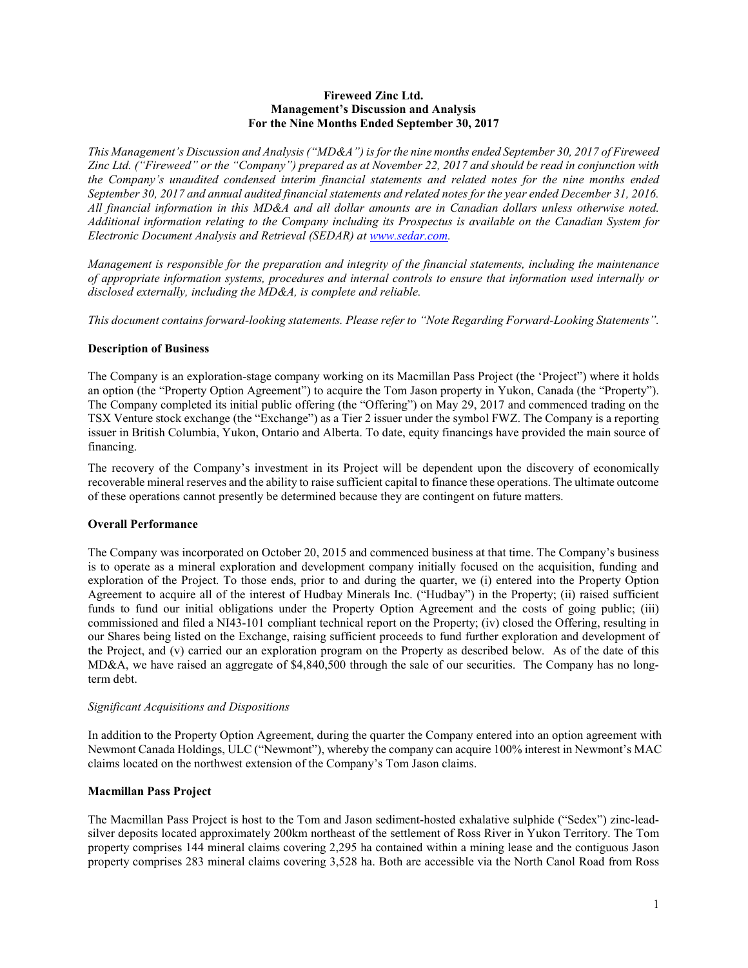#### Fireweed Zinc Ltd. Management's Discussion and Analysis For the Nine Months Ended September 30, 2017

This Management's Discussion and Analysis ("MD&A") is for the nine months ended September 30, 2017 of Fireweed Zinc Ltd. ("Fireweed" or the "Company") prepared as at November 22, 2017 and should be read in conjunction with the Company's unaudited condensed interim financial statements and related notes for the nine months ended September 30, 2017 and annual audited financial statements and related notes for the year ended December 31, 2016. All financial information in this MD&A and all dollar amounts are in Canadian dollars unless otherwise noted. Additional information relating to the Company including its Prospectus is available on the Canadian System for Electronic Document Analysis and Retrieval (SEDAR) at www.sedar.com.

Management is responsible for the preparation and integrity of the financial statements, including the maintenance of appropriate information systems, procedures and internal controls to ensure that information used internally or disclosed externally, including the MD&A, is complete and reliable.

This document contains forward-looking statements. Please refer to "Note Regarding Forward-Looking Statements".

### Description of Business

The Company is an exploration-stage company working on its Macmillan Pass Project (the 'Project") where it holds an option (the "Property Option Agreement") to acquire the Tom Jason property in Yukon, Canada (the "Property"). The Company completed its initial public offering (the "Offering") on May 29, 2017 and commenced trading on the TSX Venture stock exchange (the "Exchange") as a Tier 2 issuer under the symbol FWZ. The Company is a reporting issuer in British Columbia, Yukon, Ontario and Alberta. To date, equity financings have provided the main source of financing.

The recovery of the Company's investment in its Project will be dependent upon the discovery of economically recoverable mineral reserves and the ability to raise sufficient capital to finance these operations. The ultimate outcome of these operations cannot presently be determined because they are contingent on future matters.

### Overall Performance

The Company was incorporated on October 20, 2015 and commenced business at that time. The Company's business is to operate as a mineral exploration and development company initially focused on the acquisition, funding and exploration of the Project. To those ends, prior to and during the quarter, we (i) entered into the Property Option Agreement to acquire all of the interest of Hudbay Minerals Inc. ("Hudbay") in the Property; (ii) raised sufficient funds to fund our initial obligations under the Property Option Agreement and the costs of going public; (iii) commissioned and filed a NI43-101 compliant technical report on the Property; (iv) closed the Offering, resulting in our Shares being listed on the Exchange, raising sufficient proceeds to fund further exploration and development of the Project, and (v) carried our an exploration program on the Property as described below. As of the date of this MD&A, we have raised an aggregate of \$4,840,500 through the sale of our securities. The Company has no longterm debt.

#### Significant Acquisitions and Dispositions

In addition to the Property Option Agreement, during the quarter the Company entered into an option agreement with Newmont Canada Holdings, ULC ("Newmont"), whereby the company can acquire 100% interest in Newmont's MAC claims located on the northwest extension of the Company's Tom Jason claims.

### Macmillan Pass Project

The Macmillan Pass Project is host to the Tom and Jason sediment-hosted exhalative sulphide ("Sedex") zinc-leadsilver deposits located approximately 200km northeast of the settlement of Ross River in Yukon Territory. The Tom property comprises 144 mineral claims covering 2,295 ha contained within a mining lease and the contiguous Jason property comprises 283 mineral claims covering 3,528 ha. Both are accessible via the North Canol Road from Ross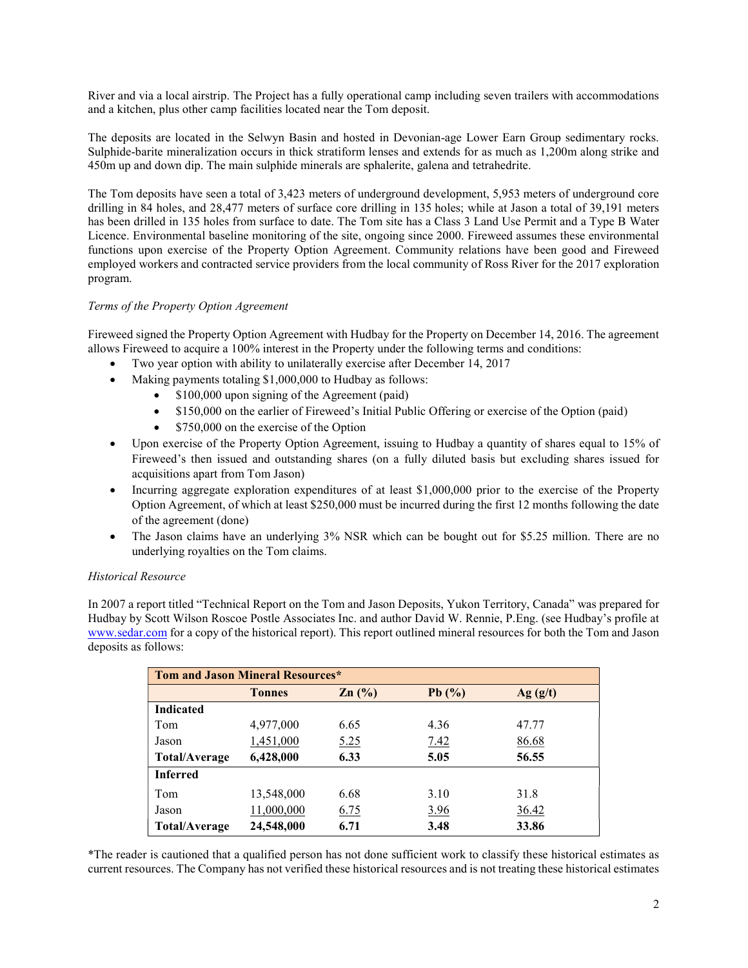River and via a local airstrip. The Project has a fully operational camp including seven trailers with accommodations and a kitchen, plus other camp facilities located near the Tom deposit.

The deposits are located in the Selwyn Basin and hosted in Devonian-age Lower Earn Group sedimentary rocks. Sulphide-barite mineralization occurs in thick stratiform lenses and extends for as much as 1,200m along strike and 450m up and down dip. The main sulphide minerals are sphalerite, galena and tetrahedrite.

The Tom deposits have seen a total of 3,423 meters of underground development, 5,953 meters of underground core drilling in 84 holes, and 28,477 meters of surface core drilling in 135 holes; while at Jason a total of 39,191 meters has been drilled in 135 holes from surface to date. The Tom site has a Class 3 Land Use Permit and a Type B Water Licence. Environmental baseline monitoring of the site, ongoing since 2000. Fireweed assumes these environmental functions upon exercise of the Property Option Agreement. Community relations have been good and Fireweed employed workers and contracted service providers from the local community of Ross River for the 2017 exploration program.

# Terms of the Property Option Agreement

Fireweed signed the Property Option Agreement with Hudbay for the Property on December 14, 2016. The agreement allows Fireweed to acquire a 100% interest in the Property under the following terms and conditions:

- Two year option with ability to unilaterally exercise after December 14, 2017
- Making payments totaling \$1,000,000 to Hudbay as follows:
	- \$100,000 upon signing of the Agreement (paid)
		- \$150,000 on the earlier of Fireweed's Initial Public Offering or exercise of the Option (paid)
		- \$750,000 on the exercise of the Option
- Upon exercise of the Property Option Agreement, issuing to Hudbay a quantity of shares equal to 15% of Fireweed's then issued and outstanding shares (on a fully diluted basis but excluding shares issued for acquisitions apart from Tom Jason)
- Incurring aggregate exploration expenditures of at least \$1,000,000 prior to the exercise of the Property Option Agreement, of which at least \$250,000 must be incurred during the first 12 months following the date of the agreement (done)
- The Jason claims have an underlying 3% NSR which can be bought out for \$5.25 million. There are no underlying royalties on the Tom claims.

### Historical Resource

In 2007 a report titled "Technical Report on the Tom and Jason Deposits, Yukon Territory, Canada" was prepared for Hudbay by Scott Wilson Roscoe Postle Associates Inc. and author David W. Rennie, P.Eng. (see Hudbay's profile at www.sedar.com for a copy of the historical report). This report outlined mineral resources for both the Tom and Jason deposits as follows:

| <b>Tom and Jason Mineral Resources*</b> |               |       |             |         |  |  |
|-----------------------------------------|---------------|-------|-------------|---------|--|--|
|                                         | <b>Tonnes</b> | Zn(%) | Pb $(\%)$   | Ag(g/t) |  |  |
| <b>Indicated</b>                        |               |       |             |         |  |  |
| Tom                                     | 4,977,000     | 6.65  | 4.36        | 47.77   |  |  |
| Jason                                   | 1,451,000     | 5.25  | 7.42        | 86.68   |  |  |
| Total/Average                           | 6,428,000     | 6.33  | 5.05        | 56.55   |  |  |
| <b>Inferred</b>                         |               |       |             |         |  |  |
| Tom                                     | 13,548,000    | 6.68  | 3.10        | 31.8    |  |  |
| Jason                                   | 11,000,000    | 6.75  | <u>3.96</u> | 36.42   |  |  |
| Total/Average                           | 24,548,000    | 6.71  | 3.48        | 33.86   |  |  |

\*The reader is cautioned that a qualified person has not done sufficient work to classify these historical estimates as current resources. The Company has not verified these historical resources and is not treating these historical estimates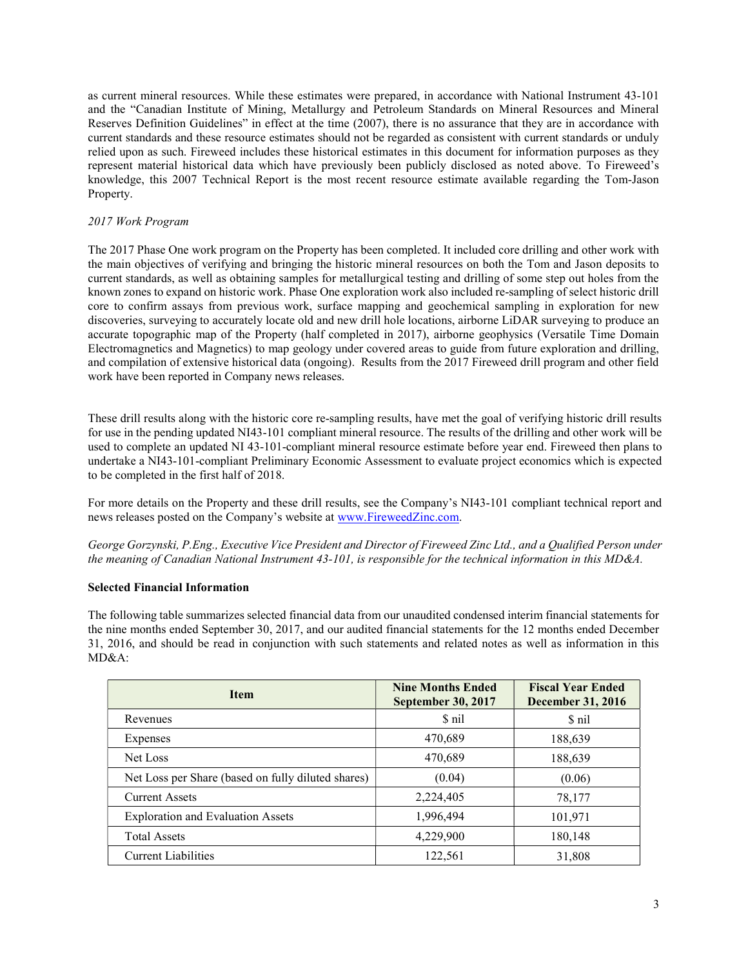as current mineral resources. While these estimates were prepared, in accordance with National Instrument 43-101 and the "Canadian Institute of Mining, Metallurgy and Petroleum Standards on Mineral Resources and Mineral Reserves Definition Guidelines" in effect at the time (2007), there is no assurance that they are in accordance with current standards and these resource estimates should not be regarded as consistent with current standards or unduly relied upon as such. Fireweed includes these historical estimates in this document for information purposes as they represent material historical data which have previously been publicly disclosed as noted above. To Fireweed's knowledge, this 2007 Technical Report is the most recent resource estimate available regarding the Tom-Jason Property.

# 2017 Work Program

The 2017 Phase One work program on the Property has been completed. It included core drilling and other work with the main objectives of verifying and bringing the historic mineral resources on both the Tom and Jason deposits to current standards, as well as obtaining samples for metallurgical testing and drilling of some step out holes from the known zones to expand on historic work. Phase One exploration work also included re-sampling of select historic drill core to confirm assays from previous work, surface mapping and geochemical sampling in exploration for new discoveries, surveying to accurately locate old and new drill hole locations, airborne LiDAR surveying to produce an accurate topographic map of the Property (half completed in 2017), airborne geophysics (Versatile Time Domain Electromagnetics and Magnetics) to map geology under covered areas to guide from future exploration and drilling, and compilation of extensive historical data (ongoing). Results from the 2017 Fireweed drill program and other field work have been reported in Company news releases.

These drill results along with the historic core re-sampling results, have met the goal of verifying historic drill results for use in the pending updated NI43-101 compliant mineral resource. The results of the drilling and other work will be used to complete an updated NI 43-101-compliant mineral resource estimate before year end. Fireweed then plans to undertake a NI43-101-compliant Preliminary Economic Assessment to evaluate project economics which is expected to be completed in the first half of 2018.

For more details on the Property and these drill results, see the Company's NI43-101 compliant technical report and news releases posted on the Company's website at www.FireweedZinc.com.

George Gorzynski, P.Eng., Executive Vice President and Director of Fireweed Zinc Ltd., and a Qualified Person under the meaning of Canadian National Instrument 43-101, is responsible for the technical information in this MD&A.

### Selected Financial Information

The following table summarizes selected financial data from our unaudited condensed interim financial statements for the nine months ended September 30, 2017, and our audited financial statements for the 12 months ended December 31, 2016, and should be read in conjunction with such statements and related notes as well as information in this MD&A:

| <b>Item</b>                                        | <b>Nine Months Ended</b><br>September 30, 2017 | <b>Fiscal Year Ended</b><br><b>December 31, 2016</b> |  |  |
|----------------------------------------------------|------------------------------------------------|------------------------------------------------------|--|--|
| Revenues                                           | \$ nil                                         | \$ nil                                               |  |  |
| Expenses                                           | 470,689                                        | 188,639                                              |  |  |
| Net Loss                                           | 470,689                                        | 188,639                                              |  |  |
| Net Loss per Share (based on fully diluted shares) | (0.04)                                         | (0.06)                                               |  |  |
| <b>Current Assets</b>                              | 2,224,405                                      | 78,177                                               |  |  |
| <b>Exploration and Evaluation Assets</b>           | 1,996,494                                      | 101,971                                              |  |  |
| <b>Total Assets</b>                                | 4,229,900                                      | 180,148                                              |  |  |
| <b>Current Liabilities</b>                         | 122,561                                        | 31,808                                               |  |  |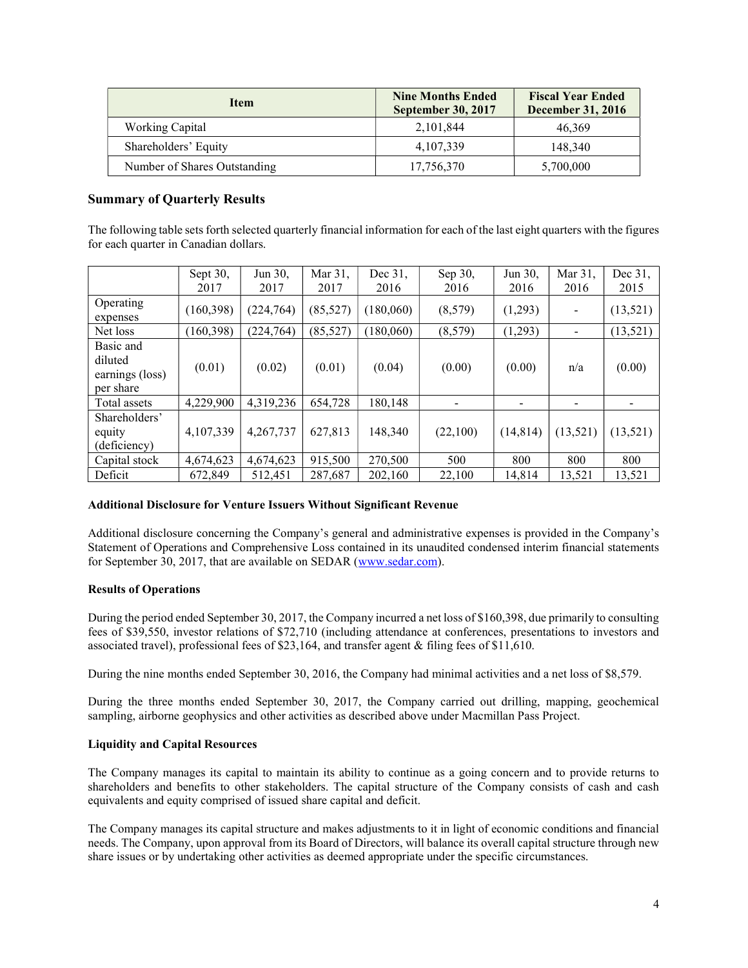| <b>Item</b>                  | <b>Nine Months Ended</b><br><b>September 30, 2017</b> | <b>Fiscal Year Ended</b><br><b>December 31, 2016</b> |  |
|------------------------------|-------------------------------------------------------|------------------------------------------------------|--|
| Working Capital              | 2,101,844                                             | 46,369                                               |  |
| Shareholders' Equity         | 4,107,339                                             | 148,340                                              |  |
| Number of Shares Outstanding | 17,756,370                                            | 5,700,000                                            |  |

# Summary of Quarterly Results

The following table sets forth selected quarterly financial information for each of the last eight quarters with the figures for each quarter in Canadian dollars.

|                                                      | Sept $30$ , | Jun 30,    | Mar 31,   | Dec 31,   | Sep 30,  | Jun 30,   | Mar 31,  | Dec 31,   |
|------------------------------------------------------|-------------|------------|-----------|-----------|----------|-----------|----------|-----------|
|                                                      | 2017        | 2017       | 2017      | 2016      | 2016     | 2016      | 2016     | 2015      |
| Operating<br>expenses                                | (160, 398)  | (224,764)  | (85, 527) | (180,060) | (8,579)  | (1,293)   |          | (13, 521) |
| Net loss                                             | (160, 398)  | (224, 764) | (85, 527) | (180,060) | (8,579)  | (1,293)   | Ξ.       | (13, 521) |
| Basic and<br>diluted<br>earnings (loss)<br>per share | (0.01)      | (0.02)     | (0.01)    | (0.04)    | (0.00)   | (0.00)    | n/a      | (0.00)    |
| Total assets                                         | 4,229,900   | 4,319,236  | 654,728   | 180,148   |          |           |          |           |
| Shareholders'<br>equity<br>(deficiency)              | 4,107,339   | 4,267,737  | 627,813   | 148,340   | (22,100) | (14, 814) | (13,521) | (13,521)  |
| Capital stock                                        | 4,674,623   | 4,674,623  | 915,500   | 270,500   | 500      | 800       | 800      | 800       |
| Deficit                                              | 672,849     | 512.451    | 287,687   | 202,160   | 22,100   | 14.814    | 13,521   | 13,521    |

### Additional Disclosure for Venture Issuers Without Significant Revenue

Additional disclosure concerning the Company's general and administrative expenses is provided in the Company's Statement of Operations and Comprehensive Loss contained in its unaudited condensed interim financial statements for September 30, 2017, that are available on SEDAR (www.sedar.com).

### Results of Operations

During the period ended September 30, 2017, the Company incurred a net loss of \$160,398, due primarily to consulting fees of \$39,550, investor relations of \$72,710 (including attendance at conferences, presentations to investors and associated travel), professional fees of \$23,164, and transfer agent & filing fees of \$11,610.

During the nine months ended September 30, 2016, the Company had minimal activities and a net loss of \$8,579.

During the three months ended September 30, 2017, the Company carried out drilling, mapping, geochemical sampling, airborne geophysics and other activities as described above under Macmillan Pass Project.

#### Liquidity and Capital Resources

The Company manages its capital to maintain its ability to continue as a going concern and to provide returns to shareholders and benefits to other stakeholders. The capital structure of the Company consists of cash and cash equivalents and equity comprised of issued share capital and deficit.

The Company manages its capital structure and makes adjustments to it in light of economic conditions and financial needs. The Company, upon approval from its Board of Directors, will balance its overall capital structure through new share issues or by undertaking other activities as deemed appropriate under the specific circumstances.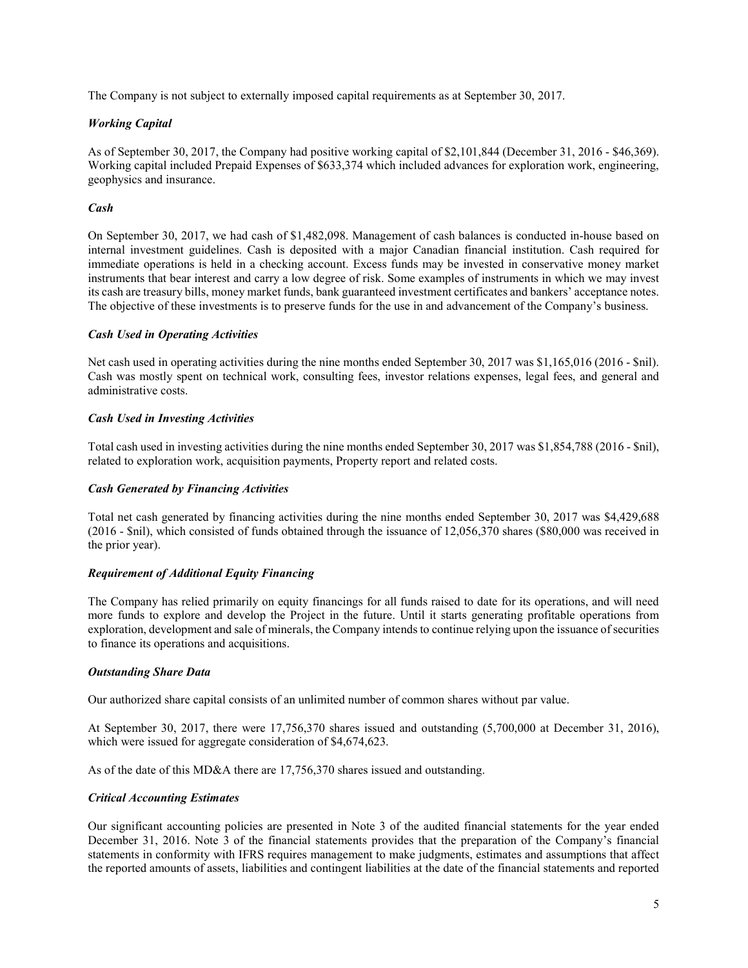The Company is not subject to externally imposed capital requirements as at September 30, 2017.

# Working Capital

As of September 30, 2017, the Company had positive working capital of \$2,101,844 (December 31, 2016 - \$46,369). Working capital included Prepaid Expenses of \$633,374 which included advances for exploration work, engineering, geophysics and insurance.

# Cash

On September 30, 2017, we had cash of \$1,482,098. Management of cash balances is conducted in-house based on internal investment guidelines. Cash is deposited with a major Canadian financial institution. Cash required for immediate operations is held in a checking account. Excess funds may be invested in conservative money market instruments that bear interest and carry a low degree of risk. Some examples of instruments in which we may invest its cash are treasury bills, money market funds, bank guaranteed investment certificates and bankers' acceptance notes. The objective of these investments is to preserve funds for the use in and advancement of the Company's business.

### Cash Used in Operating Activities

Net cash used in operating activities during the nine months ended September 30, 2017 was \$1,165,016 (2016 - \$nil). Cash was mostly spent on technical work, consulting fees, investor relations expenses, legal fees, and general and administrative costs.

# Cash Used in Investing Activities

Total cash used in investing activities during the nine months ended September 30, 2017 was \$1,854,788 (2016 - \$nil), related to exploration work, acquisition payments, Property report and related costs.

### Cash Generated by Financing Activities

Total net cash generated by financing activities during the nine months ended September 30, 2017 was \$4,429,688 (2016 - \$nil), which consisted of funds obtained through the issuance of 12,056,370 shares (\$80,000 was received in the prior year).

### Requirement of Additional Equity Financing

The Company has relied primarily on equity financings for all funds raised to date for its operations, and will need more funds to explore and develop the Project in the future. Until it starts generating profitable operations from exploration, development and sale of minerals, the Company intends to continue relying upon the issuance of securities to finance its operations and acquisitions.

### Outstanding Share Data

Our authorized share capital consists of an unlimited number of common shares without par value.

At September 30, 2017, there were 17,756,370 shares issued and outstanding (5,700,000 at December 31, 2016), which were issued for aggregate consideration of \$4,674,623.

As of the date of this MD&A there are 17,756,370 shares issued and outstanding.

### Critical Accounting Estimates

Our significant accounting policies are presented in Note 3 of the audited financial statements for the year ended December 31, 2016. Note 3 of the financial statements provides that the preparation of the Company's financial statements in conformity with IFRS requires management to make judgments, estimates and assumptions that affect the reported amounts of assets, liabilities and contingent liabilities at the date of the financial statements and reported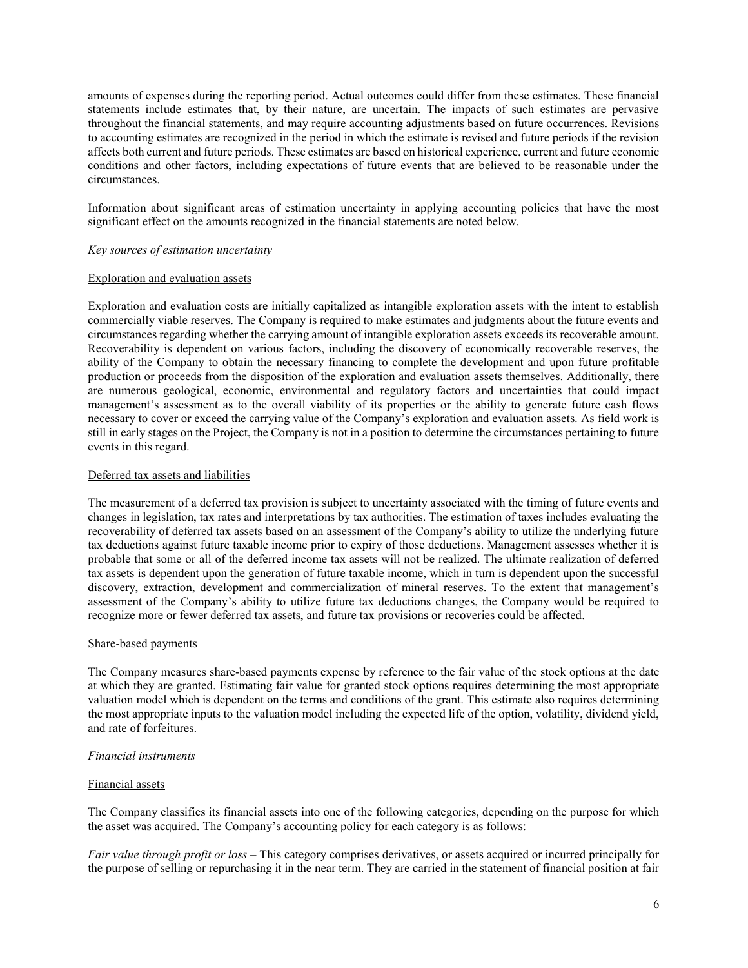amounts of expenses during the reporting period. Actual outcomes could differ from these estimates. These financial statements include estimates that, by their nature, are uncertain. The impacts of such estimates are pervasive throughout the financial statements, and may require accounting adjustments based on future occurrences. Revisions to accounting estimates are recognized in the period in which the estimate is revised and future periods if the revision affects both current and future periods. These estimates are based on historical experience, current and future economic conditions and other factors, including expectations of future events that are believed to be reasonable under the circumstances.

Information about significant areas of estimation uncertainty in applying accounting policies that have the most significant effect on the amounts recognized in the financial statements are noted below.

#### Key sources of estimation uncertainty

#### Exploration and evaluation assets

Exploration and evaluation costs are initially capitalized as intangible exploration assets with the intent to establish commercially viable reserves. The Company is required to make estimates and judgments about the future events and circumstances regarding whether the carrying amount of intangible exploration assets exceeds its recoverable amount. Recoverability is dependent on various factors, including the discovery of economically recoverable reserves, the ability of the Company to obtain the necessary financing to complete the development and upon future profitable production or proceeds from the disposition of the exploration and evaluation assets themselves. Additionally, there are numerous geological, economic, environmental and regulatory factors and uncertainties that could impact management's assessment as to the overall viability of its properties or the ability to generate future cash flows necessary to cover or exceed the carrying value of the Company's exploration and evaluation assets. As field work is still in early stages on the Project, the Company is not in a position to determine the circumstances pertaining to future events in this regard.

#### Deferred tax assets and liabilities

The measurement of a deferred tax provision is subject to uncertainty associated with the timing of future events and changes in legislation, tax rates and interpretations by tax authorities. The estimation of taxes includes evaluating the recoverability of deferred tax assets based on an assessment of the Company's ability to utilize the underlying future tax deductions against future taxable income prior to expiry of those deductions. Management assesses whether it is probable that some or all of the deferred income tax assets will not be realized. The ultimate realization of deferred tax assets is dependent upon the generation of future taxable income, which in turn is dependent upon the successful discovery, extraction, development and commercialization of mineral reserves. To the extent that management's assessment of the Company's ability to utilize future tax deductions changes, the Company would be required to recognize more or fewer deferred tax assets, and future tax provisions or recoveries could be affected.

#### Share-based payments

The Company measures share-based payments expense by reference to the fair value of the stock options at the date at which they are granted. Estimating fair value for granted stock options requires determining the most appropriate valuation model which is dependent on the terms and conditions of the grant. This estimate also requires determining the most appropriate inputs to the valuation model including the expected life of the option, volatility, dividend yield, and rate of forfeitures.

#### Financial instruments

#### Financial assets

The Company classifies its financial assets into one of the following categories, depending on the purpose for which the asset was acquired. The Company's accounting policy for each category is as follows:

Fair value through profit or loss – This category comprises derivatives, or assets acquired or incurred principally for the purpose of selling or repurchasing it in the near term. They are carried in the statement of financial position at fair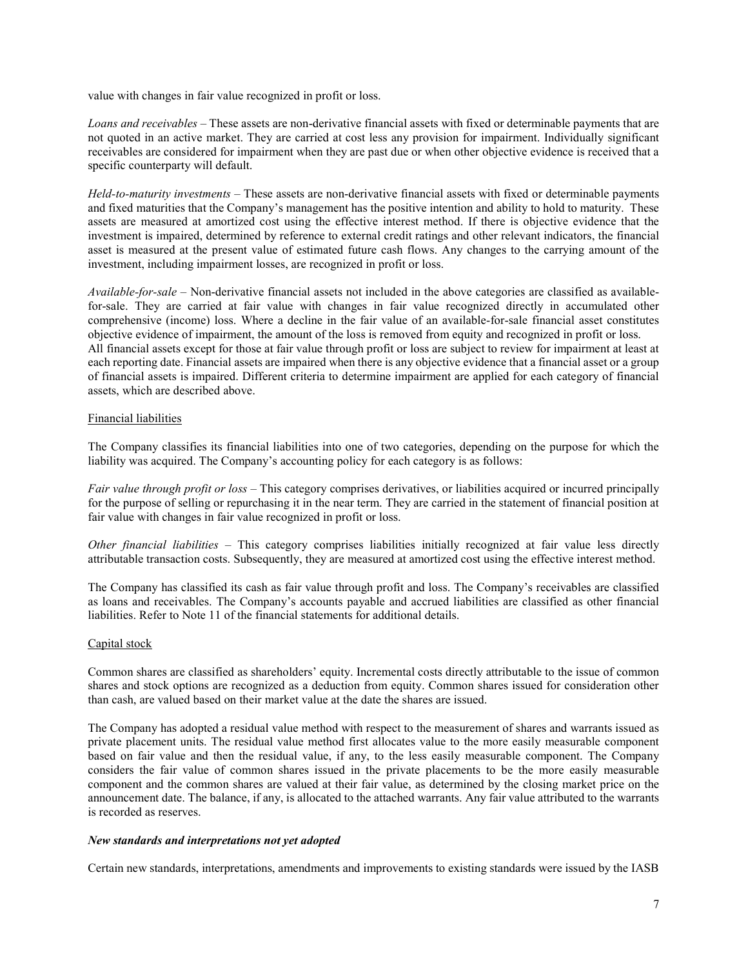value with changes in fair value recognized in profit or loss.

Loans and receivables – These assets are non-derivative financial assets with fixed or determinable payments that are not quoted in an active market. They are carried at cost less any provision for impairment. Individually significant receivables are considered for impairment when they are past due or when other objective evidence is received that a specific counterparty will default.

Held-to-maturity investments – These assets are non-derivative financial assets with fixed or determinable payments and fixed maturities that the Company's management has the positive intention and ability to hold to maturity. These assets are measured at amortized cost using the effective interest method. If there is objective evidence that the investment is impaired, determined by reference to external credit ratings and other relevant indicators, the financial asset is measured at the present value of estimated future cash flows. Any changes to the carrying amount of the investment, including impairment losses, are recognized in profit or loss.

Available-for-sale – Non-derivative financial assets not included in the above categories are classified as availablefor-sale. They are carried at fair value with changes in fair value recognized directly in accumulated other comprehensive (income) loss. Where a decline in the fair value of an available-for-sale financial asset constitutes objective evidence of impairment, the amount of the loss is removed from equity and recognized in profit or loss. All financial assets except for those at fair value through profit or loss are subject to review for impairment at least at each reporting date. Financial assets are impaired when there is any objective evidence that a financial asset or a group of financial assets is impaired. Different criteria to determine impairment are applied for each category of financial assets, which are described above.

#### Financial liabilities

The Company classifies its financial liabilities into one of two categories, depending on the purpose for which the liability was acquired. The Company's accounting policy for each category is as follows:

Fair value through profit or loss – This category comprises derivatives, or liabilities acquired or incurred principally for the purpose of selling or repurchasing it in the near term. They are carried in the statement of financial position at fair value with changes in fair value recognized in profit or loss.

Other financial liabilities – This category comprises liabilities initially recognized at fair value less directly attributable transaction costs. Subsequently, they are measured at amortized cost using the effective interest method.

The Company has classified its cash as fair value through profit and loss. The Company's receivables are classified as loans and receivables. The Company's accounts payable and accrued liabilities are classified as other financial liabilities. Refer to Note 11 of the financial statements for additional details.

#### Capital stock

Common shares are classified as shareholders' equity. Incremental costs directly attributable to the issue of common shares and stock options are recognized as a deduction from equity. Common shares issued for consideration other than cash, are valued based on their market value at the date the shares are issued.

The Company has adopted a residual value method with respect to the measurement of shares and warrants issued as private placement units. The residual value method first allocates value to the more easily measurable component based on fair value and then the residual value, if any, to the less easily measurable component. The Company considers the fair value of common shares issued in the private placements to be the more easily measurable component and the common shares are valued at their fair value, as determined by the closing market price on the announcement date. The balance, if any, is allocated to the attached warrants. Any fair value attributed to the warrants is recorded as reserves.

#### New standards and interpretations not yet adopted

Certain new standards, interpretations, amendments and improvements to existing standards were issued by the IASB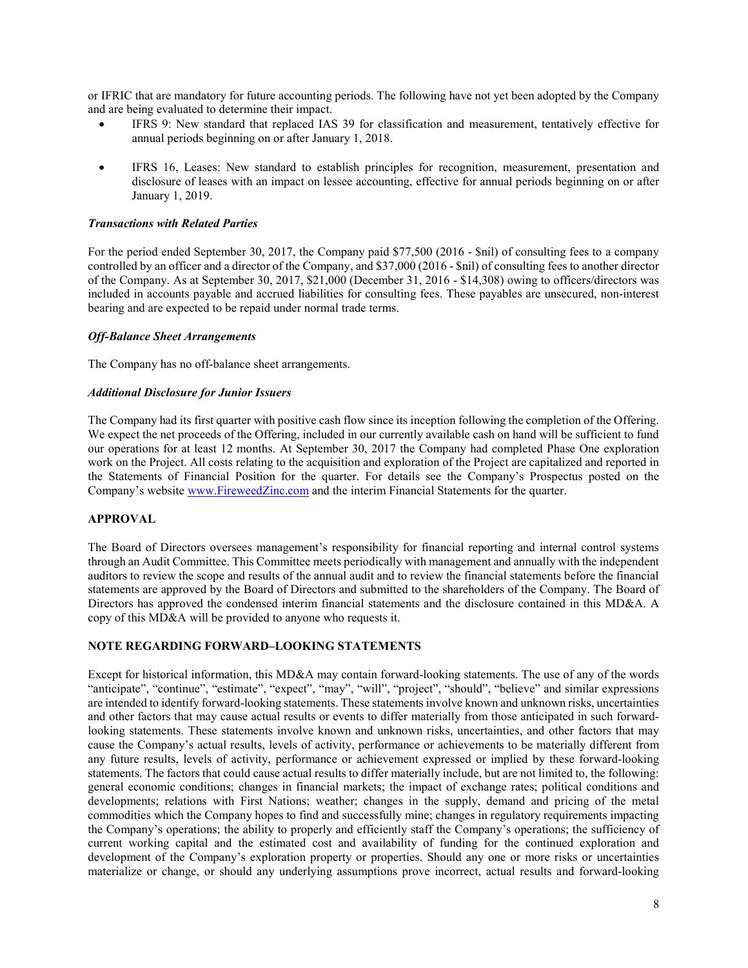or IFRIC that are mandatory for future accounting periods. The following have not yet been adopted by the Company and are being evaluated to determine their impact.

- IFRS 9: New standard that replaced IAS 39 for classification and measurement, tentatively effective for annual periods beginning on or after January 1, 2018.
- IFRS 16, Leases: New standard to establish principles for recognition, measurement, presentation and disclosure of leases with an impact on lessee accounting, effective for annual periods beginning on or after January 1, 2019.

#### Transactions with Related Parties

For the period ended September 30, 2017, the Company paid \$77,500 (2016 - \$nil) of consulting fees to a company controlled by an officer and a director of the Company, and \$37,000 (2016 - \$nil) of consulting fees to another director of the Company. As at September 30, 2017, \$21,000 (December 31, 2016 - \$14,308) owing to officers/directors was included in accounts payable and accrued liabilities for consulting fees. These payables are unsecured, non-interest bearing and are expected to be repaid under normal trade terms.

#### Off-Balance Sheet Arrangements

The Company has no off-balance sheet arrangements.

#### Additional Disclosure for Junior Issuers

The Company had its first quarter with positive cash flow since its inception following the completion of the Offering. We expect the net proceeds of the Offering, included in our currently available cash on hand will be sufficient to fund our operations for at least 12 months. At September 30, 2017 the Company had completed Phase One exploration work on the Project. All costs relating to the acquisition and exploration of the Project are capitalized and reported in the Statements of Financial Position for the quarter. For details see the Company's Prospectus posted on the Company's website www.FireweedZinc.com and the interim Financial Statements for the quarter.

### APPROVAL

The Board of Directors oversees management's responsibility for financial reporting and internal control systems through an Audit Committee. This Committee meets periodically with management and annually with the independent auditors to review the scope and results of the annual audit and to review the financial statements before the financial statements are approved by the Board of Directors and submitted to the shareholders of the Company. The Board of Directors has approved the condensed interim financial statements and the disclosure contained in this MD&A. A copy of this MD&A will be provided to anyone who requests it.

### NOTE REGARDING FORWARD–LOOKING STATEMENTS

Except for historical information, this MD&A may contain forward-looking statements. The use of any of the words "anticipate", "continue", "estimate", "expect", "may", "will", "project", "should", "believe" and similar expressions are intended to identify forward-looking statements. These statements involve known and unknown risks, uncertainties and other factors that may cause actual results or events to differ materially from those anticipated in such forwardlooking statements. These statements involve known and unknown risks, uncertainties, and other factors that may cause the Company's actual results, levels of activity, performance or achievements to be materially different from any future results, levels of activity, performance or achievement expressed or implied by these forward-looking statements. The factors that could cause actual results to differ materially include, but are not limited to, the following: general economic conditions; changes in financial markets; the impact of exchange rates; political conditions and developments; relations with First Nations; weather; changes in the supply, demand and pricing of the metal commodities which the Company hopes to find and successfully mine; changes in regulatory requirements impacting the Company's operations; the ability to properly and efficiently staff the Company's operations; the sufficiency of current working capital and the estimated cost and availability of funding for the continued exploration and development of the Company's exploration property or properties. Should any one or more risks or uncertainties materialize or change, or should any underlying assumptions prove incorrect, actual results and forward-looking